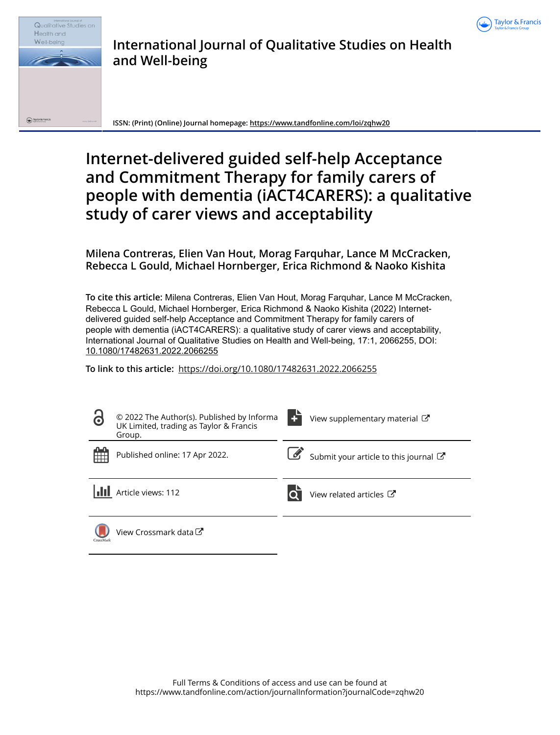



## **International Journal of Qualitative Studies on Health and Well-being**

**ISSN: (Print) (Online) Journal homepage:<https://www.tandfonline.com/loi/zqhw20>**

# **Internet-delivered guided self-help Acceptance and Commitment Therapy for family carers of people with dementia (iACT4CARERS): a qualitative study of carer views and acceptability**

**Milena Contreras, Elien Van Hout, Morag Farquhar, Lance M McCracken, Rebecca L Gould, Michael Hornberger, Erica Richmond & Naoko Kishita**

**To cite this article:** Milena Contreras, Elien Van Hout, Morag Farquhar, Lance M McCracken, Rebecca L Gould, Michael Hornberger, Erica Richmond & Naoko Kishita (2022) Internetdelivered guided self-help Acceptance and Commitment Therapy for family carers of people with dementia (iACT4CARERS): a qualitative study of carer views and acceptability, International Journal of Qualitative Studies on Health and Well-being, 17:1, 2066255, DOI: [10.1080/17482631.2022.2066255](https://www.tandfonline.com/action/showCitFormats?doi=10.1080/17482631.2022.2066255)

**To link to this article:** <https://doi.org/10.1080/17482631.2022.2066255>

| $\bullet$ | © 2022 The Author(s). Published by Informa<br>UK Limited, trading as Taylor & Francis<br>Group. | View supplementary material C       |
|-----------|-------------------------------------------------------------------------------------------------|-------------------------------------|
| 雦         | Published online: 17 Apr 2022.                                                                  | Submit your article to this journal |
|           | Article views: 112                                                                              | View related articles C             |
| CrossMark | View Crossmark data <sup>C</sup>                                                                |                                     |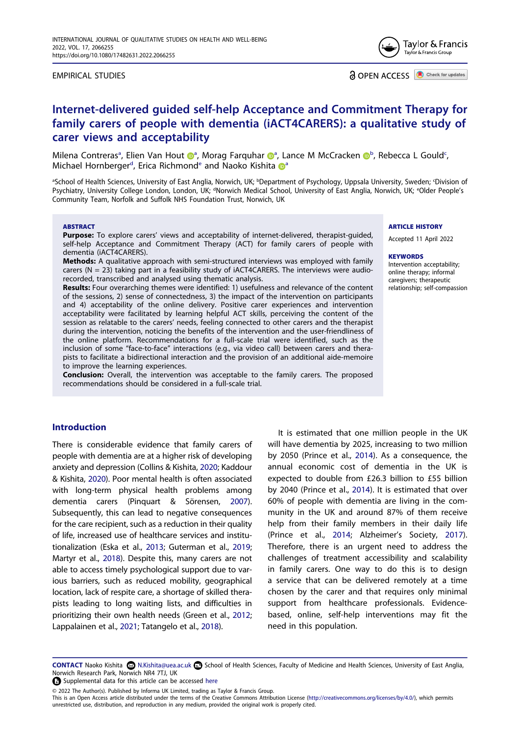EMPIRICAL STUDIES



## **Internet-delivered guided self-help Acceptance and Commitment Therapy for family carers of people with dementia (iACT4CARERS): a qualitative study of carer views and acceptability**

Milena Con[t](http://orcid.org/0000-0002-2956-7575)rer[a](#page-1-0)s<sup>a</sup>, Elien Van Hout <sup>n</sup>, Morag Farquhar n<sup>a</sup>, Lance M McCracken n<sup>[b](#page-1-0)</sup>, Rebe[c](#page-1-0)ca L Gould<sup>c</sup>, Michael Hornberger<sup>[d](#page-1-1)</sup>, Eric[a](#page-1-0) Richmond<sup>e</sup> and Naoko Kishita C<sup>a</sup>

<span id="page-1-1"></span><span id="page-1-0"></span><sup>a</sup>School of Health Sciences, University of East Anglia, Norwich, UK; <sup>b</sup>Department of Psychology, Uppsala University, Sweden; <sup>c</sup>Division of Psychiatry, University College London, London, UK; <sup>a</sup>Norwich Medical School, University of East Anglia, Norwich, UK; <sup>e</sup>Older People's Community Team, Norfolk and Suffolk NHS Foundation Trust, Norwich, UK

#### **ABSTRACT**

**Purpose:** To explore carers' views and acceptability of internet-delivered, therapist-quided, self-help Acceptance and Commitment Therapy (ACT) for family carers of people with dementia (iACT4CARERS).

**Methods:** A qualitative approach with semi-structured interviews was employed with family carers ( $N = 23$ ) taking part in a feasibility study of iACT4CARERS. The interviews were audiorecorded, transcribed and analysed using thematic analysis.

**Results:** Four overarching themes were identified: 1) usefulness and relevance of the content of the sessions, 2) sense of connectedness, 3) the impact of the intervention on participants and 4) acceptability of the online delivery. Positive carer experiences and intervention acceptability were facilitated by learning helpful ACT skills, perceiving the content of the session as relatable to the carers' needs, feeling connected to other carers and the therapist during the intervention, noticing the benefits of the intervention and the user-friendliness of the online platform. Recommendations for a full-scale trial were identified, such as the inclusion of some "face-to-face" interactions (e.g., via video call) between carers and therapists to facilitate a bidirectional interaction and the provision of an additional aide-memoire to improve the learning experiences.

**Conclusion:** Overall, the intervention was acceptable to the family carers. The proposed recommendations should be considered in a full-scale trial.

## **Introduction**

<span id="page-1-9"></span><span id="page-1-8"></span><span id="page-1-6"></span><span id="page-1-4"></span><span id="page-1-3"></span>There is considerable evidence that family carers of people with dementia are at a higher risk of developing anxiety and depression (Collins & Kishita, [2020](#page-10-0); Kaddour & Kishita, [2020](#page-11-0)). Poor mental health is often associated with long-term physical health problems among dementia carers (Pinquart & Sörensen, [2007\)](#page-12-0). Subsequently, this can lead to negative consequences for the care recipient, such as a reduction in their quality of life, increased use of healthcare services and institutionalization (Eska et al., [2013](#page-11-1); Guterman et al., [2019;](#page-11-2) Martyr et al., [2018\)](#page-12-1). Despite this, many carers are not able to access timely psychological support due to various barriers, such as reduced mobility, geographical location, lack of respite care, a shortage of skilled therapists leading to long waiting lists, and difficulties in prioritizing their own health needs (Green et al., [2012;](#page-11-3) Lappalainen et al., [2021;](#page-11-4) Tatangelo et al., [2018\)](#page-12-2).

<span id="page-1-2"></span>It is estimated that one million people in the UK will have dementia by 2025, increasing to two million by 2050 (Prince et al., [2014](#page-12-3)). As a consequence, the annual economic cost of dementia in the UK is expected to double from £26.3 billion to £55 billion by 2040 (Prince et al., [2014\)](#page-12-3). It is estimated that over 60% of people with dementia are living in the community in the UK and around 87% of them receive help from their family members in their daily life (Prince et al., [2014](#page-12-3); Alzheimer's Society, [2017](#page-10-1)). Therefore, there is an urgent need to address the challenges of treatment accessibility and scalability in family carers. One way to do this is to design a service that can be delivered remotely at a time chosen by the carer and that requires only minimal support from healthcare professionals. Evidencebased, online, self-help interventions may fit the need in this population.

#### **ARTICLE HISTORY**

Accepted 11 April 2022

#### **KEYWORDS**

Intervention acceptability; online therapy; informal caregivers; therapeutic relationship; self-compassion

<span id="page-1-7"></span><span id="page-1-5"></span>CONTACT Naoko Kishita **M.Kishita@uea.ac.uk <b>B** School of Health Sciences, Faculty of Medicine and Health Sciences, University of East Anglia, Norwich Research Park, Norwich NR4 7TJ, UK

Supplemental data for this article can be accessed [here](https://doi.org/10.1080/17482631.2022.2066255)

<sup>© 2022</sup> The Author(s). Published by Informa UK Limited, trading as Taylor & Francis Group.

This is an Open Access article distributed under the terms of the Creative Commons Attribution License (http://creativecommons.org/licenses/by/4.0/), which permits unrestricted use, distribution, and reproduction in any medium, provided the original work is properly cited.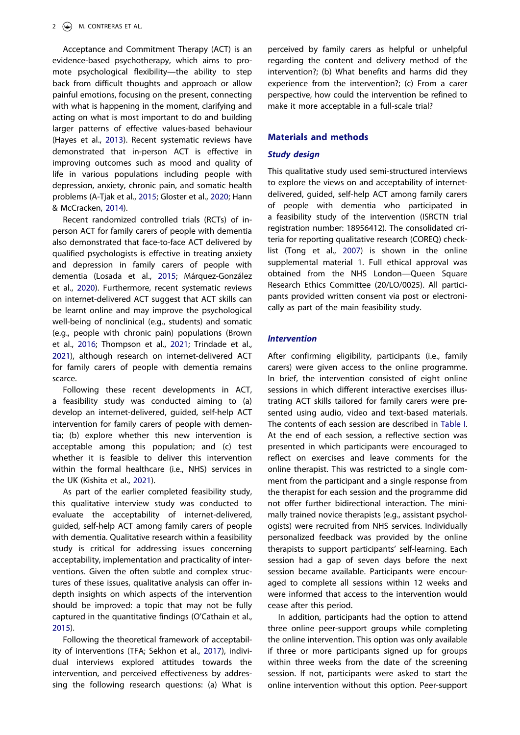Acceptance and Commitment Therapy (ACT) is an evidence-based psychotherapy, which aims to promote psychological flexibility—the ability to step back from difficult thoughts and approach or allow painful emotions, focusing on the present, connecting with what is happening in the moment, clarifying and acting on what is most important to do and building larger patterns of effective values-based behaviour (Hayes et al., [2013](#page-11-5)). Recent systematic reviews have demonstrated that in-person ACT is effective in improving outcomes such as mood and quality of life in various populations including people with depression, anxiety, chronic pain, and somatic health problems (A-Tjak et al., [2015](#page-10-2); Gloster et al., [2020;](#page-11-6) Hann & McCracken, [2014](#page-11-7)).

<span id="page-2-6"></span><span id="page-2-5"></span><span id="page-2-3"></span><span id="page-2-2"></span><span id="page-2-0"></span>Recent randomized controlled trials (RCTs) of inperson ACT for family carers of people with dementia also demonstrated that face-to-face ACT delivered by qualified psychologists is effective in treating anxiety and depression in family carers of people with dementia (Losada et al., [2015](#page-11-8); Márquez-González et al., [2020\)](#page-11-9). Furthermore, recent systematic reviews on internet-delivered ACT suggest that ACT skills can be learnt online and may improve the psychological well-being of nonclinical (e.g., students) and somatic (e.g., people with chronic pain) populations (Brown et al., [2016;](#page-10-3) Thompson et al., [2021;](#page-12-4) Trindade et al., [2021\)](#page-12-5), although research on internet-delivered ACT for family carers of people with dementia remains scarce.

<span id="page-2-1"></span>Following these recent developments in ACT, a feasibility study was conducted aiming to (a) develop an internet-delivered, guided, self-help ACT intervention for family carers of people with dementia; (b) explore whether this new intervention is acceptable among this population; and (c) test whether it is feasible to deliver this intervention within the formal healthcare (i.e., NHS) services in the UK (Kishita et al., [2021](#page-11-10)).

<span id="page-2-4"></span>As part of the earlier completed feasibility study, this qualitative interview study was conducted to evaluate the acceptability of internet-delivered, guided, self-help ACT among family carers of people with dementia. Qualitative research within a feasibility study is critical for addressing issues concerning acceptability, implementation and practicality of interventions. Given the often subtle and complex structures of these issues, qualitative analysis can offer indepth insights on which aspects of the intervention should be improved: a topic that may not be fully captured in the quantitative findings (O'Cathain et al., [2015\)](#page-12-6).

<span id="page-2-8"></span><span id="page-2-7"></span>Following the theoretical framework of acceptability of interventions (TFA; Sekhon et al., [2017\)](#page-12-7), individual interviews explored attitudes towards the intervention, and perceived effectiveness by addressing the following research questions: (a) What is perceived by family carers as helpful or unhelpful regarding the content and delivery method of the intervention?; (b) What benefits and harms did they experience from the intervention?; (c) From a carer perspective, how could the intervention be refined to make it more acceptable in a full-scale trial?

#### **Materials and methods**

### *Study design*

<span id="page-2-9"></span>This qualitative study used semi-structured interviews to explore the views on and acceptability of internetdelivered, guided, self-help ACT among family carers of people with dementia who participated in a feasibility study of the intervention (ISRCTN trial registration number: 18956412). The consolidated criteria for reporting qualitative research (COREQ) checklist (Tong et al., [2007\)](#page-12-8) is shown in the online supplemental material 1. Full ethical approval was obtained from the NHS London—Queen Square Research Ethics Committee (20/LO/0025). All participants provided written consent via post or electronically as part of the main feasibility study.

## *Intervention*

After confirming eligibility, participants (i.e., family carers) were given access to the online programme. In brief, the intervention consisted of eight online sessions in which different interactive exercises illustrating ACT skills tailored for family carers were presented using audio, video and text-based materials. The contents of each session are described in [Table I](#page-3-0). At the end of each session, a reflective section was presented in which participants were encouraged to reflect on exercises and leave comments for the online therapist. This was restricted to a single comment from the participant and a single response from the therapist for each session and the programme did not offer further bidirectional interaction. The minimally trained novice therapists (e.g., assistant psychologists) were recruited from NHS services. Individually personalized feedback was provided by the online therapists to support participants' self-learning. Each session had a gap of seven days before the next session became available. Participants were encouraged to complete all sessions within 12 weeks and were informed that access to the intervention would cease after this period.

In addition, participants had the option to attend three online peer-support groups while completing the online intervention. This option was only available if three or more participants signed up for groups within three weeks from the date of the screening session. If not, participants were asked to start the online intervention without this option. Peer-support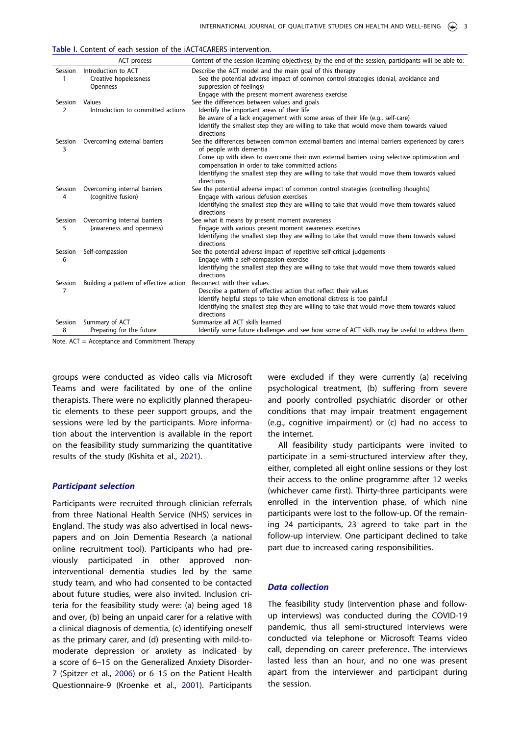<span id="page-3-0"></span>

| Table I. Content of each session of the iACT4CARERS intervention. |  |
|-------------------------------------------------------------------|--|
|-------------------------------------------------------------------|--|

|              | ACT process                                              | Content of the session (learning objectives); by the end of the session, participants will be able to:                                                                                                                                                                                                                                                                                    |
|--------------|----------------------------------------------------------|-------------------------------------------------------------------------------------------------------------------------------------------------------------------------------------------------------------------------------------------------------------------------------------------------------------------------------------------------------------------------------------------|
| Session      | Introduction to ACT<br>Creative hopelessness<br>Openness | Describe the ACT model and the main goal of this therapy<br>See the potential adverse impact of common control strategies (denial, avoidance and<br>suppression of feelings)                                                                                                                                                                                                              |
| Session<br>2 | Values<br>Introduction to committed actions              | Engage with the present moment awareness exercise<br>See the differences between values and goals<br>Identify the important areas of their life<br>Be aware of a lack engagement with some areas of their life (e.g., self-care)<br>Identify the smallest step they are willing to take that would move them towards valued<br>directions                                                 |
| Session<br>3 | Overcoming external barriers                             | See the differences between common external barriers and internal barriers experienced by carers<br>of people with dementia<br>Come up with ideas to overcome their own external barriers using selective optimization and<br>compensation in order to take committed actions<br>Identifying the smallest step they are willing to take that would move them towards valued<br>directions |
| Session<br>4 | Overcoming internal barriers<br>(cognitive fusion)       | See the potential adverse impact of common control strategies (controlling thoughts)<br>Engage with various defusion exercises<br>Identifying the smallest step they are willing to take that would move them towards valued<br>directions                                                                                                                                                |
| Session<br>5 | Overcoming internal barriers<br>(awareness and openness) | See what it means by present moment awareness<br>Engage with various present moment awareness exercises<br>Identifying the smallest step they are willing to take that would move them towards valued<br>directions                                                                                                                                                                       |
| Session<br>6 | Self-compassion                                          | See the potential adverse impact of repetitive self-critical judgements<br>Engage with a self-compassion exercise<br>Identifying the smallest step they are willing to take that would move them towards valued<br>directions                                                                                                                                                             |
| Session<br>7 | Building a pattern of effective action                   | Reconnect with their values<br>Describe a pattern of effective action that reflect their values<br>Identify helpful steps to take when emotional distress is too painful<br>Identifying the smallest step they are willing to take that would move them towards valued<br>directions                                                                                                      |
| Session<br>8 | Summary of ACT<br>Preparing for the future               | Summarize all ACT skills learned<br>Identify some future challenges and see how some of ACT skills may be useful to address them                                                                                                                                                                                                                                                          |

Note. ACT = Acceptance and Commitment Therapy

groups were conducted as video calls via Microsoft Teams and were facilitated by one of the online therapists. There were no explicitly planned therapeutic elements to these peer support groups, and the sessions were led by the participants. More information about the intervention is available in the report on the feasibility study summarizing the quantitative results of the study (Kishita et al., [2021\)](#page-11-10).

#### *Participant selection*

<span id="page-3-2"></span><span id="page-3-1"></span>Participants were recruited through clinician referrals from three National Health Service (NHS) services in England. The study was also advertised in local newspapers and on Join Dementia Research (a national online recruitment tool). Participants who had previously participated in other approved noninterventional dementia studies led by the same study team, and who had consented to be contacted about future studies, were also invited. Inclusion criteria for the feasibility study were: (a) being aged 18 and over, (b) being an unpaid carer for a relative with a clinical diagnosis of dementia, (c) identifying oneself as the primary carer, and (d) presenting with mild-tomoderate depression or anxiety as indicated by a score of 6–15 on the Generalized Anxiety Disorder-7 (Spitzer et al., [2006\)](#page-12-9) or 6–15 on the Patient Health Questionnaire-9 (Kroenke et al., [2001\)](#page-11-11). Participants

were excluded if they were currently (a) receiving psychological treatment, (b) suffering from severe and poorly controlled psychiatric disorder or other conditions that may impair treatment engagement (e.g., cognitive impairment) or (c) had no access to the internet.

All feasibility study participants were invited to participate in a semi-structured interview after they, either, completed all eight online sessions or they lost their access to the online programme after 12 weeks (whichever came first). Thirty-three participants were enrolled in the intervention phase, of which nine participants were lost to the follow-up. Of the remaining 24 participants, 23 agreed to take part in the follow-up interview. One participant declined to take part due to increased caring responsibilities.

## *Data collection*

The feasibility study (intervention phase and followup interviews) was conducted during the COVID-19 pandemic, thus all semi-structured interviews were conducted via telephone or Microsoft Teams video call, depending on career preference. The interviews lasted less than an hour, and no one was present apart from the interviewer and participant during the session.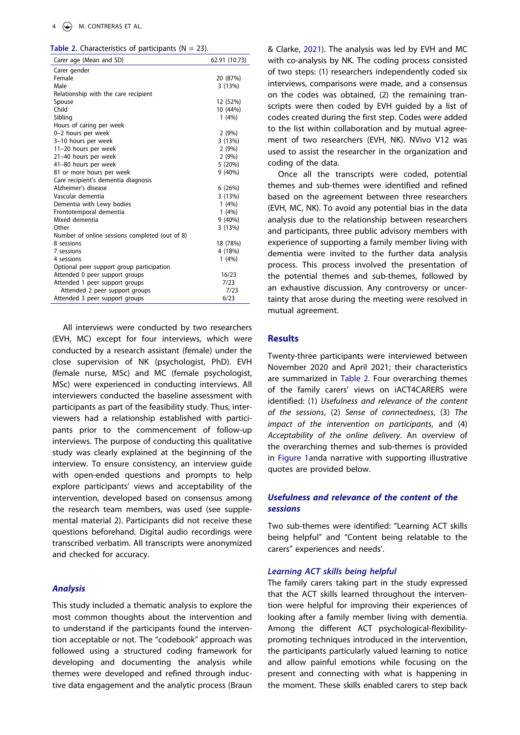<span id="page-4-0"></span>**Table 2.** Characteristics of participants ( $N = 23$ ).

| Carer age (Mean and SD)                        | 62.91 (10.73) |
|------------------------------------------------|---------------|
| Carer gender                                   |               |
| Female                                         | 20 (87%)      |
| Male                                           | 3(13%)        |
| Relationship with the care recipient           |               |
| Spouse                                         | 12 (52%)      |
| Child                                          | 10 (44%)      |
| Sibling                                        | 1(4%)         |
| Hours of caring per week                       |               |
| 0-2 hours per week                             | 2(9%)         |
| 3-10 hours per week                            | 3(13%)        |
| 11-20 hours per week                           | 2(9%)         |
| 21-40 hours per week                           | 2(9%)         |
| 41-80 hours per week                           | 5 (20%)       |
| 81 or more hours per week                      | $9(40\%)$     |
| Care recipient's dementia diagnosis            |               |
| Alzheimer's disease                            | 6(26%)        |
| Vascular dementia                              | 3(13%)        |
| Dementia with Lewy bodies                      | 1(4%)         |
| Frontotemporal dementia                        | 1(4%)         |
| Mixed dementia                                 | $9(40\%)$     |
| Other                                          | 3(13%)        |
| Number of online sessions completed (out of 8) |               |
| 8 sessions                                     | 18 (78%)      |
| 7 sessions                                     | 4 (18%)       |
| 4 sessions                                     | 1(4%)         |
| Optional peer support group participation      |               |
| Attended 0 peer support groups                 | 16/23         |
| Attended 1 peer support groups                 | 7/23          |
| Attended 2 peer support groups                 | 7/23          |
| Attended 3 peer support groups                 | 6/23          |
|                                                |               |

All interviews were conducted by two researchers (EVH, MC) except for four interviews, which were conducted by a research assistant (female) under the close supervision of NK (psychologist, PhD). EVH (female nurse, MSc) and MC (female psychologist, MSc) were experienced in conducting interviews. All interviewers conducted the baseline assessment with participants as part of the feasibility study. Thus, interviewers had a relationship established with participants prior to the commencement of follow-up interviews. The purpose of conducting this qualitative study was clearly explained at the beginning of the interview. To ensure consistency, an interview guide with open-ended questions and prompts to help explore participants' views and acceptability of the intervention, developed based on consensus among the research team members, was used (see supplemental material 2). Participants did not receive these questions beforehand. Digital audio recordings were transcribed verbatim. All transcripts were anonymized and checked for accuracy.

## *Analysis*

This study included a thematic analysis to explore the most common thoughts about the intervention and to understand if the participants found the intervention acceptable or not. The "codebook" approach was followed using a structured coding framework for developing and documenting the analysis while themes were developed and refined through inductive data engagement and the analytic process (Braun <span id="page-4-1"></span>& Clarke, [2021](#page-10-4)). The analysis was led by EVH and MC with co-analysis by NK. The coding process consisted of two steps: (1) researchers independently coded six interviews, comparisons were made, and a consensus on the codes was obtained, (2) the remaining transcripts were then coded by EVH guided by a list of codes created during the first step. Codes were added to the list within collaboration and by mutual agreement of two researchers (EVH, NK). NVivo V12 was used to assist the researcher in the organization and coding of the data.

Once all the transcripts were coded, potential themes and sub-themes were identified and refined based on the agreement between three researchers (EVH, MC, NK). To avoid any potential bias in the data analysis due to the relationship between researchers and participants, three public advisory members with experience of supporting a family member living with dementia were invited to the further data analysis process. This process involved the presentation of the potential themes and sub-themes, followed by an exhaustive discussion. Any controversy or uncertainty that arose during the meeting were resolved in mutual agreement.

## **Results**

Twenty-three participants were interviewed between November 2020 and April 2021; their characteristics are summarized in [Table 2.](#page-4-0) Four overarching themes of the family carers' views on iACT4CARERS were identified: (1) *Usefulness and relevance of the content of the sessions*, (2) *Sense of connectedness*, (3) *The impact of the intervention on participants*, and (4) *Acceptability of the online delivery*. An overview of the overarching themes and sub-themes is provided in [Figure 1a](#page-5-0)nda narrative with supporting illustrative quotes are provided below.

## *Usefulness and relevance of the content of the sessions*

Two sub-themes were identified: "Learning ACT skills being helpful" and "Content being relatable to the carers" experiences and needs'.

#### *Learning ACT skills being helpful*

The family carers taking part in the study expressed that the ACT skills learned throughout the intervention were helpful for improving their experiences of looking after a family member living with dementia. Among the different ACT psychological-flexibilitypromoting techniques introduced in the intervention, the participants particularly valued learning to notice and allow painful emotions while focusing on the present and connecting with what is happening in the moment. These skills enabled carers to step back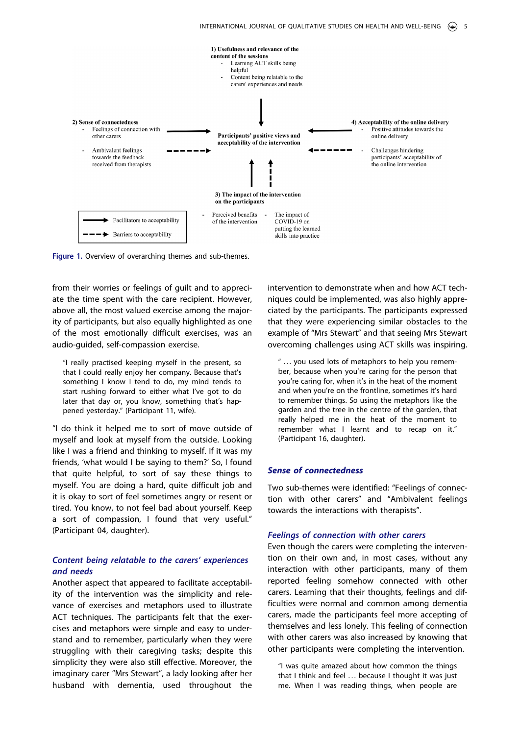

<span id="page-5-0"></span>**Figure 1.** Overview of overarching themes and sub-themes.

from their worries or feelings of guilt and to appreciate the time spent with the care recipient. However, above all, the most valued exercise among the majority of participants, but also equally highlighted as one of the most emotionally difficult exercises, was an audio-guided, self-compassion exercise.

"I really practised keeping myself in the present, so that I could really enjoy her company. Because that's something I know I tend to do, my mind tends to start rushing forward to either what I've got to do later that day or, you know, something that's happened yesterday." (Participant 11, wife).

"I do think it helped me to sort of move outside of myself and look at myself from the outside. Looking like I was a friend and thinking to myself. If it was my friends, 'what would I be saying to them?' So, I found that quite helpful, to sort of say these things to myself. You are doing a hard, quite difficult job and it is okay to sort of feel sometimes angry or resent or tired. You know, to not feel bad about yourself. Keep a sort of compassion, I found that very useful." (Participant 04, daughter).

## *Content being relatable to the carers' experiences and needs*

Another aspect that appeared to facilitate acceptability of the intervention was the simplicity and relevance of exercises and metaphors used to illustrate ACT techniques. The participants felt that the exercises and metaphors were simple and easy to understand and to remember, particularly when they were struggling with their caregiving tasks; despite this simplicity they were also still effective. Moreover, the imaginary carer "Mrs Stewart", a lady looking after her husband with dementia, used throughout the

intervention to demonstrate when and how ACT techniques could be implemented, was also highly appreciated by the participants. The participants expressed that they were experiencing similar obstacles to the example of "Mrs Stewart" and that seeing Mrs Stewart overcoming challenges using ACT skills was inspiring.

" ... you used lots of metaphors to help you remember, because when you're caring for the person that you're caring for, when it's in the heat of the moment and when you're on the frontline, sometimes it's hard to remember things. So using the metaphors like the garden and the tree in the centre of the garden, that really helped me in the heat of the moment to remember what I learnt and to recap on it." (Participant 16, daughter).

#### *Sense of connectedness*

Two sub-themes were identified: "Feelings of connection with other carers" and "Ambivalent feelings towards the interactions with therapists".

#### *Feelings of connection with other carers*

Even though the carers were completing the intervention on their own and, in most cases, without any interaction with other participants, many of them reported feeling somehow connected with other carers. Learning that their thoughts, feelings and difficulties were normal and common among dementia carers, made the participants feel more accepting of themselves and less lonely. This feeling of connection with other carers was also increased by knowing that other participants were completing the intervention.

"I was quite amazed about how common the things that I think and feel ... because I thought it was just me. When I was reading things, when people are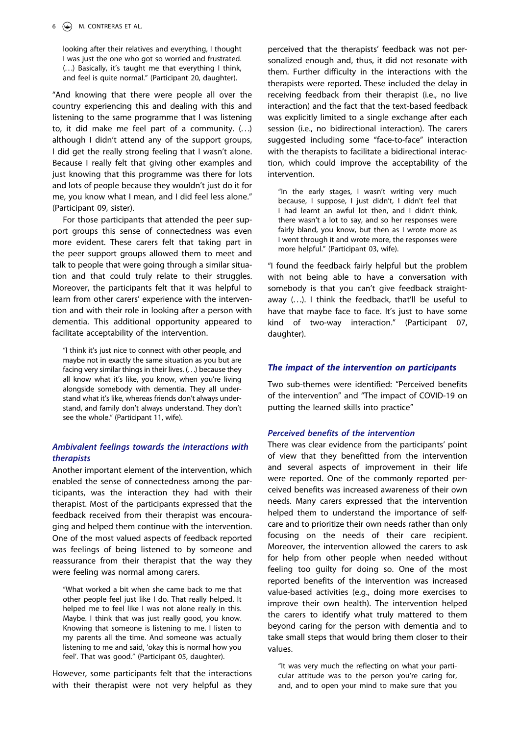looking after their relatives and everything, I thought I was just the one who got so worried and frustrated. (. . .) Basically, it's taught me that everything I think, and feel is quite normal." (Participant 20, daughter).

"And knowing that there were people all over the country experiencing this and dealing with this and listening to the same programme that I was listening to, it did make me feel part of a community. (. . .) although I didn't attend any of the support groups, I did get the really strong feeling that I wasn't alone. Because I really felt that giving other examples and just knowing that this programme was there for lots and lots of people because they wouldn't just do it for me, you know what I mean, and I did feel less alone." (Participant 09, sister).

For those participants that attended the peer support groups this sense of connectedness was even more evident. These carers felt that taking part in the peer support groups allowed them to meet and talk to people that were going through a similar situation and that could truly relate to their struggles. Moreover, the participants felt that it was helpful to learn from other carers' experience with the intervention and with their role in looking after a person with dementia. This additional opportunity appeared to facilitate acceptability of the intervention.

"I think it's just nice to connect with other people, and maybe not in exactly the same situation as you but are facing very similar things in their lives. (. . .) because they all know what it's like, you know, when you're living alongside somebody with dementia. They all understand what it's like, whereas friends don't always understand, and family don't always understand. They don't see the whole." (Participant 11, wife).

## *Ambivalent feelings towards the interactions with therapists*

Another important element of the intervention, which enabled the sense of connectedness among the participants, was the interaction they had with their therapist. Most of the participants expressed that the feedback received from their therapist was encouraging and helped them continue with the intervention. One of the most valued aspects of feedback reported was feelings of being listened to by someone and reassurance from their therapist that the way they were feeling was normal among carers.

"What worked a bit when she came back to me that other people feel just like I do. That really helped. It helped me to feel like I was not alone really in this. Maybe. I think that was just really good, you know. Knowing that someone is listening to me. I listen to my parents all the time. And someone was actually listening to me and said, 'okay this is normal how you feel'. That was good." (Participant 05, daughter).

However, some participants felt that the interactions with their therapist were not very helpful as they

perceived that the therapists' feedback was not personalized enough and, thus, it did not resonate with them. Further difficulty in the interactions with the therapists were reported. These included the delay in receiving feedback from their therapist (i.e., no live interaction) and the fact that the text-based feedback was explicitly limited to a single exchange after each session (i.e., no bidirectional interaction). The carers suggested including some "face-to-face" interaction with the therapists to facilitate a bidirectional interaction, which could improve the acceptability of the intervention.

"In the early stages, I wasn't writing very much because, I suppose, I just didn't, I didn't feel that I had learnt an awful lot then, and I didn't think, there wasn't a lot to say, and so her responses were fairly bland, you know, but then as I wrote more as I went through it and wrote more, the responses were more helpful." (Participant 03, wife).

"I found the feedback fairly helpful but the problem with not being able to have a conversation with somebody is that you can't give feedback straightaway (...). I think the feedback, that'll be useful to have that maybe face to face. It's just to have some kind of two-way interaction." (Participant 07, daughter).

## *The impact of the intervention on participants*

Two sub-themes were identified: "Perceived benefits of the intervention" and "The impact of COVID-19 on putting the learned skills into practice"

### *Perceived benefits of the intervention*

There was clear evidence from the participants' point of view that they benefitted from the intervention and several aspects of improvement in their life were reported. One of the commonly reported perceived benefits was increased awareness of their own needs. Many carers expressed that the intervention helped them to understand the importance of selfcare and to prioritize their own needs rather than only focusing on the needs of their care recipient. Moreover, the intervention allowed the carers to ask for help from other people when needed without feeling too guilty for doing so. One of the most reported benefits of the intervention was increased value-based activities (e.g., doing more exercises to improve their own health). The intervention helped the carers to identify what truly mattered to them beyond caring for the person with dementia and to take small steps that would bring them closer to their values.

"It was very much the reflecting on what your particular attitude was to the person you're caring for, and, and to open your mind to make sure that you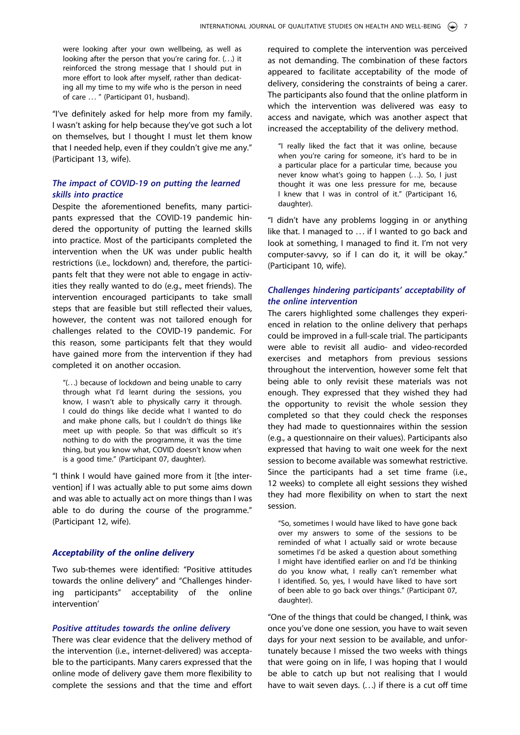were looking after your own wellbeing, as well as looking after the person that you're caring for. (...) it reinforced the strong message that I should put in more effort to look after myself, rather than dedicating all my time to my wife who is the person in need of care ... " (Participant 01, husband).

"I've definitely asked for help more from my family. I wasn't asking for help because they've got such a lot on themselves, but I thought I must let them know that I needed help, even if they couldn't give me any." (Participant 13, wife).

## *The impact of COVID-19 on putting the learned skills into practice*

Despite the aforementioned benefits, many participants expressed that the COVID-19 pandemic hindered the opportunity of putting the learned skills into practice. Most of the participants completed the intervention when the UK was under public health restrictions (i.e., lockdown) and, therefore, the participants felt that they were not able to engage in activities they really wanted to do (e.g., meet friends). The intervention encouraged participants to take small steps that are feasible but still reflected their values, however, the content was not tailored enough for challenges related to the COVID-19 pandemic. For this reason, some participants felt that they would have gained more from the intervention if they had completed it on another occasion.

"(. . .) because of lockdown and being unable to carry through what I'd learnt during the sessions, you know, I wasn't able to physically carry it through. I could do things like decide what I wanted to do and make phone calls, but I couldn't do things like meet up with people. So that was difficult so it's nothing to do with the programme, it was the time thing, but you know what, COVID doesn't know when is a good time." (Participant 07, daughter).

"I think I would have gained more from it [the intervention] if I was actually able to put some aims down and was able to actually act on more things than I was able to do during the course of the programme." (Participant 12, wife).

### *Acceptability of the online delivery*

Two sub-themes were identified: "Positive attitudes towards the online delivery" and "Challenges hindering participants" acceptability of the online intervention'

## *Positive attitudes towards the online delivery*

There was clear evidence that the delivery method of the intervention (i.e., internet-delivered) was acceptable to the participants. Many carers expressed that the online mode of delivery gave them more flexibility to complete the sessions and that the time and effort

required to complete the intervention was perceived as not demanding. The combination of these factors appeared to facilitate acceptability of the mode of delivery, considering the constraints of being a carer. The participants also found that the online platform in which the intervention was delivered was easy to access and navigate, which was another aspect that increased the acceptability of the delivery method.

"I really liked the fact that it was online, because when you're caring for someone, it's hard to be in a particular place for a particular time, because you never know what's going to happen (...). So, I just thought it was one less pressure for me, because I knew that I was in control of it." (Participant 16, daughter).

"I didn't have any problems logging in or anything like that. I managed to . . . if I wanted to go back and look at something, I managed to find it. I'm not very computer-savvy, so if I can do it, it will be okay." (Participant 10, wife).

## *Challenges hindering participants' acceptability of the online intervention*

The carers highlighted some challenges they experienced in relation to the online delivery that perhaps could be improved in a full-scale trial. The participants were able to revisit all audio- and video-recorded exercises and metaphors from previous sessions throughout the intervention, however some felt that being able to only revisit these materials was not enough. They expressed that they wished they had the opportunity to revisit the whole session they completed so that they could check the responses they had made to questionnaires within the session (e.g., a questionnaire on their values). Participants also expressed that having to wait one week for the next session to become available was somewhat restrictive. Since the participants had a set time frame (i.e., 12 weeks) to complete all eight sessions they wished they had more flexibility on when to start the next session.

"So, sometimes I would have liked to have gone back over my answers to some of the sessions to be reminded of what I actually said or wrote because sometimes I'd be asked a question about something I might have identified earlier on and I'd be thinking do you know what, I really can't remember what I identified. So, yes, I would have liked to have sort of been able to go back over things." (Participant 07, daughter).

"One of the things that could be changed, I think, was once you've done one session, you have to wait seven days for your next session to be available, and unfortunately because I missed the two weeks with things that were going on in life, I was hoping that I would be able to catch up but not realising that I would have to wait seven days.  $(...)$  if there is a cut off time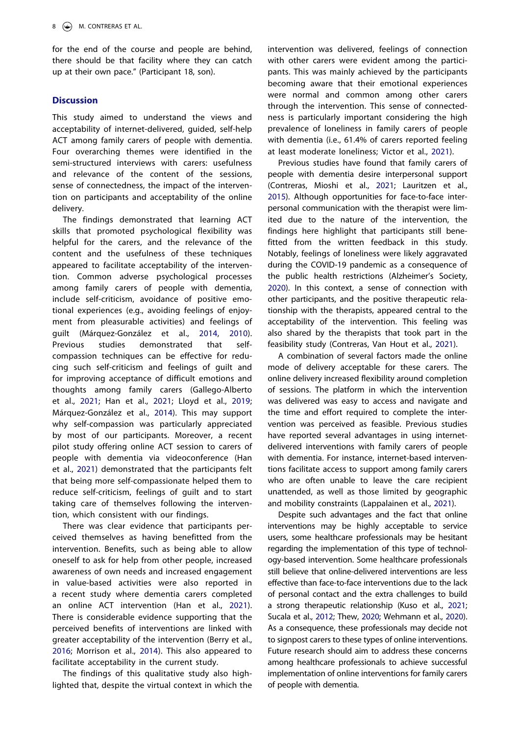for the end of the course and people are behind, there should be that facility where they can catch up at their own pace." (Participant 18, son).

## **Discussion**

This study aimed to understand the views and acceptability of internet-delivered, guided, self-help ACT among family carers of people with dementia. Four overarching themes were identified in the semi-structured interviews with carers: usefulness and relevance of the content of the sessions, sense of connectedness, the impact of the intervention on participants and acceptability of the online delivery.

<span id="page-8-8"></span>The findings demonstrated that learning ACT skills that promoted psychological flexibility was helpful for the carers, and the relevance of the content and the usefulness of these techniques appeared to facilitate acceptability of the intervention. Common adverse psychological processes among family carers of people with dementia, include self-criticism, avoidance of positive emotional experiences (e.g., avoiding feelings of enjoyment from pleasurable activities) and feelings of guilt (Márquez-González et al., [2014](#page-11-12), [2010\)](#page-12-10). Previous studies demonstrated that selfcompassion techniques can be effective for reducing such self-criticism and feelings of guilt and for improving acceptance of difficult emotions and thoughts among family carers (Gallego-Alberto et al., [2021;](#page-11-13) Han et al., [2021;](#page-11-14) Lloyd et al., [2019;](#page-11-15) Márquez-González et al., [2014\)](#page-11-12). This may support why self-compassion was particularly appreciated by most of our participants. Moreover, a recent pilot study offering online ACT session to carers of people with dementia via videoconference (Han et al., [2021](#page-11-14)) demonstrated that the participants felt that being more self-compassionate helped them to reduce self-criticism, feelings of guilt and to start taking care of themselves following the intervention, which consistent with our findings.

<span id="page-8-7"></span><span id="page-8-4"></span>There was clear evidence that participants perceived themselves as having benefitted from the intervention. Benefits, such as being able to allow oneself to ask for help from other people, increased awareness of own needs and increased engagement in value-based activities were also reported in a recent study where dementia carers completed an online ACT intervention (Han et al., [2021\)](#page-11-14). There is considerable evidence supporting that the perceived benefits of interventions are linked with greater acceptability of the intervention (Berry et al., [2016;](#page-10-5) Morrison et al., [2014](#page-12-11)). This also appeared to facilitate acceptability in the current study.

<span id="page-8-9"></span><span id="page-8-5"></span><span id="page-8-1"></span>The findings of this qualitative study also highlighted that, despite the virtual context in which the intervention was delivered, feelings of connection with other carers were evident among the participants. This was mainly achieved by the participants becoming aware that their emotional experiences were normal and common among other carers through the intervention. This sense of connectedness is particularly important considering the high prevalence of loneliness in family carers of people with dementia (i.e., 61.4% of carers reported feeling at least moderate loneliness; Victor et al., [2021\)](#page-12-12).

<span id="page-8-11"></span><span id="page-8-2"></span>Previous studies have found that family carers of people with dementia desire interpersonal support (Contreras, Mioshi et al., [2021](#page-10-6); Lauritzen et al., [2015](#page-11-16)). Although opportunities for face-to-face interpersonal communication with the therapist were limited due to the nature of the intervention, the findings here highlight that participants still benefitted from the written feedback in this study. Notably, feelings of loneliness were likely aggravated during the COVID-19 pandemic as a consequence of the public health restrictions (Alzheimer's Society, [2020](#page-10-7)). In this context, a sense of connection with other participants, and the positive therapeutic relationship with the therapists, appeared central to the acceptability of the intervention. This feeling was also shared by the therapists that took part in the feasibility study (Contreras, Van Hout et al., [2021](#page-10-8)).

<span id="page-8-3"></span><span id="page-8-0"></span>A combination of several factors made the online mode of delivery acceptable for these carers. The online delivery increased flexibility around completion of sessions. The platform in which the intervention was delivered was easy to access and navigate and the time and effort required to complete the intervention was perceived as feasible. Previous studies have reported several advantages in using internetdelivered interventions with family carers of people with dementia. For instance, internet-based interventions facilitate access to support among family carers who are often unable to leave the care recipient unattended, as well as those limited by geographic and mobility constraints (Lappalainen et al., [2021](#page-11-4)).

<span id="page-8-10"></span><span id="page-8-6"></span>Despite such advantages and the fact that online interventions may be highly acceptable to service users, some healthcare professionals may be hesitant regarding the implementation of this type of technology-based intervention. Some healthcare professionals still believe that online-delivered interventions are less effective than face-to-face interventions due to the lack of personal contact and the extra challenges to build a strong therapeutic relationship (Kuso et al., [2021](#page-11-17); Sucala et al., [2012](#page-12-13); Thew, [2020](#page-12-14); Wehmann et al., [2020](#page-12-15)). As a consequence, these professionals may decide not to signpost carers to these types of online interventions. Future research should aim to address these concerns among healthcare professionals to achieve successful implementation of online interventions for family carers of people with dementia.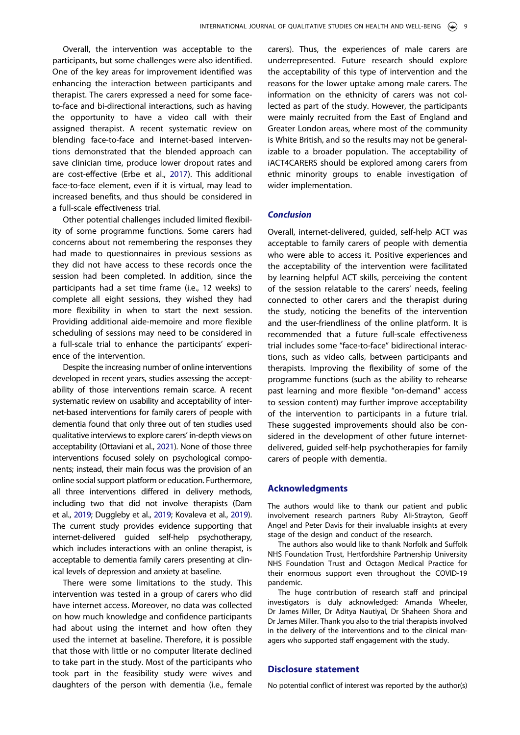Overall, the intervention was acceptable to the participants, but some challenges were also identified. One of the key areas for improvement identified was enhancing the interaction between participants and therapist. The carers expressed a need for some faceto-face and bi-directional interactions, such as having the opportunity to have a video call with their assigned therapist. A recent systematic review on blending face-to-face and internet-based interventions demonstrated that the blended approach can save clinician time, produce lower dropout rates and are cost-effective (Erbe et al., [2017](#page-11-18)). This additional face-to-face element, even if it is virtual, may lead to increased benefits, and thus should be considered in a full-scale effectiveness trial.

<span id="page-9-1"></span>Other potential challenges included limited flexibility of some programme functions. Some carers had concerns about not remembering the responses they had made to questionnaires in previous sessions as they did not have access to these records once the session had been completed. In addition, since the participants had a set time frame (i.e., 12 weeks) to complete all eight sessions, they wished they had more flexibility in when to start the next session. Providing additional aide-memoire and more flexible scheduling of sessions may need to be considered in a full-scale trial to enhance the participants' experience of the intervention.

<span id="page-9-2"></span>Despite the increasing number of online interventions developed in recent years, studies assessing the acceptability of those interventions remain scarce. A recent systematic review on usability and acceptability of internet-based interventions for family carers of people with dementia found that only three out of ten studies used qualitative interviews to explore carers' in-depth views on acceptability (Ottaviani et al., [2021](#page-12-16)). None of those three interventions focused solely on psychological components; instead, their main focus was the provision of an online social support platform or education. Furthermore, all three interventions differed in delivery methods, including two that did not involve therapists (Dam et al., [2019](#page-11-19); Duggleby et al., [2019;](#page-11-20) Kovaleva et al., [2019\)](#page-11-21). The current study provides evidence supporting that internet-delivered guided self-help psychotherapy, which includes interactions with an online therapist, is acceptable to dementia family carers presenting at clinical levels of depression and anxiety at baseline.

<span id="page-9-0"></span>There were some limitations to the study. This intervention was tested in a group of carers who did have internet access. Moreover, no data was collected on how much knowledge and confidence participants had about using the internet and how often they used the internet at baseline. Therefore, it is possible that those with little or no computer literate declined to take part in the study. Most of the participants who took part in the feasibility study were wives and daughters of the person with dementia (i.e., female

carers). Thus, the experiences of male carers are underrepresented. Future research should explore the acceptability of this type of intervention and the reasons for the lower uptake among male carers. The information on the ethnicity of carers was not collected as part of the study. However, the participants were mainly recruited from the East of England and Greater London areas, where most of the community is White British, and so the results may not be generalizable to a broader population. The acceptability of iACT4CARERS should be explored among carers from ethnic minority groups to enable investigation of wider implementation.

#### *Conclusion*

Overall, internet-delivered, guided, self-help ACT was acceptable to family carers of people with dementia who were able to access it. Positive experiences and the acceptability of the intervention were facilitated by learning helpful ACT skills, perceiving the content of the session relatable to the carers' needs, feeling connected to other carers and the therapist during the study, noticing the benefits of the intervention and the user-friendliness of the online platform. It is recommended that a future full-scale effectiveness trial includes some "face-to-face" bidirectional interactions, such as video calls, between participants and therapists. Improving the flexibility of some of the programme functions (such as the ability to rehearse past learning and more flexible "on-demand" access to session content) may further improve acceptability of the intervention to participants in a future trial. These suggested improvements should also be considered in the development of other future internetdelivered, guided self-help psychotherapies for family carers of people with dementia.

#### **Acknowledgments**

The authors would like to thank our patient and public involvement research partners Ruby Ali-Strayton, Geoff Angel and Peter Davis for their invaluable insights at every stage of the design and conduct of the research.

The authors also would like to thank Norfolk and Suffolk NHS Foundation Trust, Hertfordshire Partnership University NHS Foundation Trust and Octagon Medical Practice for their enormous support even throughout the COVID-19 pandemic.

The huge contribution of research staff and principal investigators is duly acknowledged: Amanda Wheeler, Dr James Miller, Dr Aditya Nautiyal, Dr Shaheen Shora and Dr James Miller. Thank you also to the trial therapists involved in the delivery of the interventions and to the clinical managers who supported staff engagement with the study.

### **Disclosure statement**

No potential conflict of interest was reported by the author(s)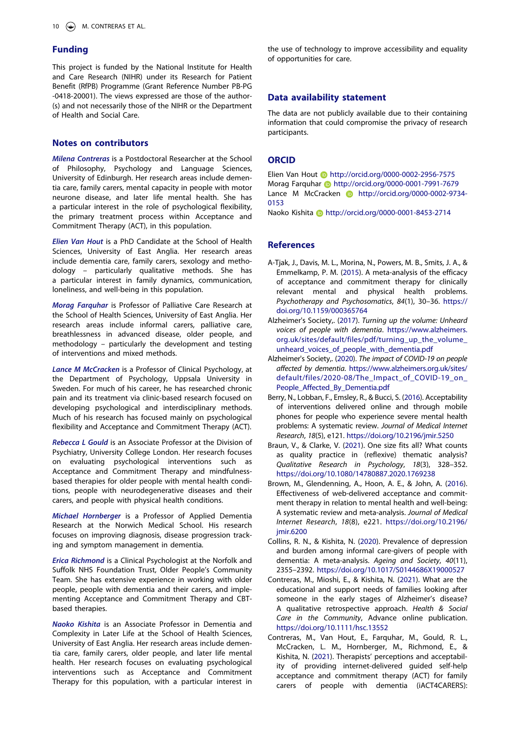## **Funding**

This project is funded by the National Institute for Health and Care Research (NIHR) under its Research for Patient Benefit (RfPB) Programme (Grant Reference Number PB-PG -0418-20001). The views expressed are those of the author- (s) and not necessarily those of the NIHR or the Department of Health and Social Care.

## **Notes on contributors**

*Milena Contreras* is a Postdoctoral Researcher at the School of Philosophy, Psychology and Language Sciences, University of Edinburgh. Her research areas include dementia care, family carers, mental capacity in people with motor neurone disease, and later life mental health. She has a particular interest in the role of psychological flexibility, the primary treatment process within Acceptance and Commitment Therapy (ACT), in this population.

*Elien Van Hout* is a PhD Candidate at the School of Health Sciences, University of East Anglia. Her research areas include dementia care, family carers, sexology and methodology – particularly qualitative methods. She has a particular interest in family dynamics, communication, loneliness, and well-being in this population.

*Morag Farquhar* is Professor of Palliative Care Research at the School of Health Sciences, University of East Anglia. Her research areas include informal carers, palliative care, breathlessness in advanced disease, older people, and methodology – particularly the development and testing of interventions and mixed methods.

*Lance M McCracken* is a Professor of Clinical Psychology, at the Department of Psychology, Uppsala University in Sweden. For much of his career, he has researched chronic pain and its treatment via clinic-based research focused on developing psychological and interdisciplinary methods. Much of his research has focused mainly on psychological flexibility and Acceptance and Commitment Therapy (ACT).

*Rebecca L Gould* is an Associate Professor at the Division of Psychiatry, University College London. Her research focuses on evaluating psychological interventions such as Acceptance and Commitment Therapy and mindfulnessbased therapies for older people with mental health conditions, people with neurodegenerative diseases and their carers, and people with physical health conditions.

*Michael Hornberger* is a Professor of Applied Dementia Research at the Norwich Medical School. His research focuses on improving diagnosis, disease progression tracking and symptom management in dementia.

*Erica Richmond* is a Clinical Psychologist at the Norfolk and Suffolk NHS Foundation Trust, Older People's Community Team. She has extensive experience in working with older people, people with dementia and their carers, and implementing Acceptance and Commitment Therapy and CBTbased therapies.

*Naoko Kishita* is an Associate Professor in Dementia and Complexity in Later Life at the School of Health Sciences, University of East Anglia. Her research areas include dementia care, family carers, older people, and later life mental health. Her research focuses on evaluating psychological interventions such as Acceptance and Commitment Therapy for this population, with a particular interest in the use of technology to improve accessibility and equality of opportunities for care.

#### **Data availability statement**

The data are not publicly available due to their containing information that could compromise the privacy of research participants.

### **ORCID**

Elien Van Hout http://orcid.org/0000-0002-2956-7575 Morag Farquhar **b** http://orcid.org/0000-0001-7991-7679 Lance M McCracken **http://orcid.org/0000-0002-9734-**0153

Naoko Kishita **http://orcid.org/0000-0001-8453-2714** 

#### **References**

- <span id="page-10-2"></span>A-Tjak, J., Davis, M. L., Morina, N., Powers, M. B., Smits, J. A., & Emmelkamp, P. M. ([2015](#page-2-0)). A meta-analysis of the efficacy of acceptance and commitment therapy for clinically relevant mental and physical health problems. *Psychotherapy and Psychosomatics*, *84*(1), 30–36. [https://](https://doi.org/10.1159/000365764) [doi.org/10.1159/000365764](https://doi.org/10.1159/000365764)
- <span id="page-10-1"></span>Alzheimer's Society,. ([2017](#page-1-2)). *Turning up the volume: Unheard voices of people with dementia*. [https://www.alzheimers.](https://www.alzheimers.org.uk/sites/default/files/pdf/turning_up_the_volume_unheard_voices_of_people_with_dementia.pdf) [org.uk/sites/default/files/pdf/turning\\_up\\_the\\_volume\\_](https://www.alzheimers.org.uk/sites/default/files/pdf/turning_up_the_volume_unheard_voices_of_people_with_dementia.pdf)  [unheard\\_voices\\_of\\_people\\_with\\_dementia.pdf](https://www.alzheimers.org.uk/sites/default/files/pdf/turning_up_the_volume_unheard_voices_of_people_with_dementia.pdf)
- <span id="page-10-7"></span>Alzheimer's Society,. [\(2020](#page-8-0)). *The impact of COVID-19 on people affected by dementia*. [https://www.alzheimers.org.uk/sites/](https://www.alzheimers.org.uk/sites/default/files/2020-08/The_Impact_of_COVID-19_on_People_Affected_By_Dementia.pdf) [default/files/2020-08/The\\_Impact\\_of\\_COVID-19\\_on\\_](https://www.alzheimers.org.uk/sites/default/files/2020-08/The_Impact_of_COVID-19_on_People_Affected_By_Dementia.pdf)  [People\\_Affected\\_By\\_Dementia.pdf](https://www.alzheimers.org.uk/sites/default/files/2020-08/The_Impact_of_COVID-19_on_People_Affected_By_Dementia.pdf)
- <span id="page-10-5"></span>Berry, N., Lobban, F., Emsley, R., & Bucci, S. [\(2016](#page-8-1)). Acceptability of interventions delivered online and through mobile phones for people who experience severe mental health problems: A systematic review. *Journal of Medical Internet Research*, *18*(5), e121. <https://doi.org/10.2196/jmir.5250>
- <span id="page-10-4"></span>Braun, V., & Clarke, V. [\(2021\)](#page-4-1). One size fits all? What counts as quality practice in (reflexive) thematic analysis? *Qualitative Research in Psychology*, *18*(3), 328–352. <https://doi.org/10.1080/14780887.2020.1769238>
- <span id="page-10-3"></span>Brown, M., Glendenning, A., Hoon, A. E., & John, A. [\(2016\)](#page-2-1). Effectiveness of web-delivered acceptance and commitment therapy in relation to mental health and well-being: A systematic review and meta-analysis. *Journal of Medical Internet Research*, *18*(8), e221. [https://doi.org/10.2196/](https://doi.org/10.2196/jmir.6200) [jmir.6200](https://doi.org/10.2196/jmir.6200)
- <span id="page-10-0"></span>Collins, R. N., & Kishita, N. [\(2020\)](#page-1-3). Prevalence of depression and burden among informal care-givers of people with dementia: A meta-analysis. *Ageing and Society*, *40*(11), 2355–2392. <https://doi.org/10.1017/S0144686X19000527>
- <span id="page-10-6"></span>Contreras, M., Mioshi, E., & Kishita, N. ([2021](#page-8-2)). What are the educational and support needs of families looking after someone in the early stages of Alzheimer's disease? A qualitative retrospective approach. *Health & Social Care in the Community*, Advance online publication. <https://doi.org/10.1111/hsc.13552>
- <span id="page-10-8"></span>Contreras, M., Van Hout, E., Farquhar, M., Gould, R. L., McCracken, L. M., Hornberger, M., Richmond, E., & Kishita, N. ([2021](#page-8-3)). Therapists' perceptions and acceptability of providing internet-delivered guided self-help acceptance and commitment therapy (ACT) for family carers of people with dementia (iACT4CARERS):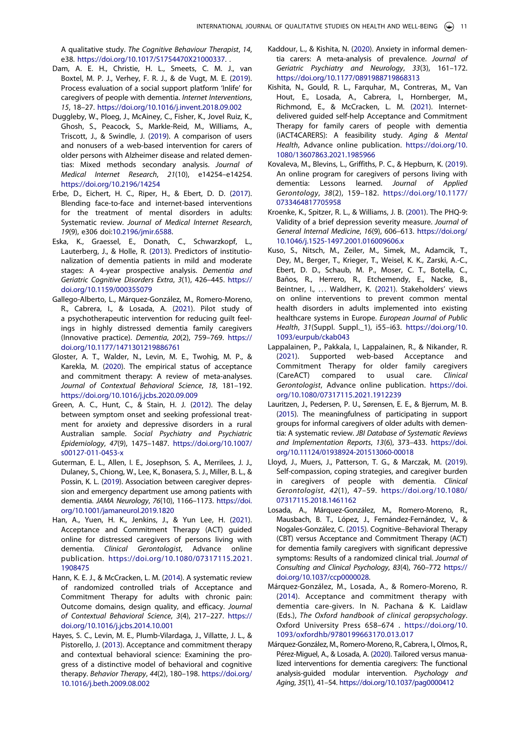A qualitative study. *The Cognitive Behaviour Therapist*, *14*, e38. [https://doi.org/10.1017/S1754470X21000337.](https://doi.org/10.1017/S1754470X21000337) .

- <span id="page-11-19"></span>Dam, A. E. H., Christie, H. L., Smeets, C. M. J., van Boxtel, M. P. J., Verhey, F. R. J., & de Vugt, M. E. ([2019](#page-9-0)). Process evaluation of a social support platform 'Inlife' for caregivers of people with dementia. *Internet Interventions*, *15*, 18–27. <https://doi.org/10.1016/j.invent.2018.09.002>
- <span id="page-11-20"></span>Duggleby, W., Ploeg, J., McAiney, C., Fisher, K., Jovel Ruiz, K., Ghosh, S., Peacock, S., Markle-Reid, M., Williams, A., Triscott, J., & Swindle, J. [\(2019\)](#page-9-0). A comparison of users and nonusers of a web-based intervention for carers of older persons with Alzheimer disease and related dementias: Mixed methods secondary analysis. *Journal of Medical Internet Research*, *21*(10), e14254–e14254. <https://doi.org/10.2196/14254>
- <span id="page-11-18"></span>Erbe, D., Eichert, H. C., Riper, H., & Ebert, D. D. ([2017](#page-9-1)). Blending face-to-face and internet-based interventions for the treatment of mental disorders in adults: Systematic review. *Journal of Medical Internet Research*, *19*(9), e306 doi:[10.2196/jmir.6588](https://doi.org/10.2196/jmir.6588).
- <span id="page-11-1"></span>Eska, K., Graessel, E., Donath, C., Schwarzkopf, L., Lauterberg, J., & Holle, R. ([2013](#page-1-4)). Predictors of institutionalization of dementia patients in mild and moderate stages: A 4-year prospective analysis. *Dementia and Geriatric Cognitive Disorders Extra*, *3*(1), 426–445. [https://](https://doi.org/10.1159/000355079)  [doi.org/10.1159/000355079](https://doi.org/10.1159/000355079)
- <span id="page-11-13"></span>Gallego-Alberto, L., Márquez-González, M., Romero-Moreno, R., Cabrera, I., & Losada, A. [\(2021\)](#page-8-4). Pilot study of a psychotherapeutic intervention for reducing guilt feelings in highly distressed dementia family caregivers (Innovative practice). *Dementia*, *20*(2), 759–769. [https://](https://doi.org/10.1177/1471301219886761)  [doi.org/10.1177/1471301219886761](https://doi.org/10.1177/1471301219886761)
- <span id="page-11-6"></span>Gloster, A. T., Walder, N., Levin, M. E., Twohig, M. P., & Karekla, M. [\(2020\)](#page-2-0). The empirical status of acceptance and commitment therapy: A review of meta-analyses. *Journal of Contextual Behavioral Science*, *18*, 181–192. <https://doi.org/10.1016/j.jcbs.2020.09.009>
- <span id="page-11-3"></span>Green, A. C., Hunt, C., & Stain, H. J. ([2012](#page-1-5)). The delay between symptom onset and seeking professional treatment for anxiety and depressive disorders in a rural Australian sample. *Social Psychiatry and Psychiatric Epidemiology*, *47*(9), 1475–1487. [https://doi.org/10.1007/](https://doi.org/10.1007/s00127-011-0453-x)  [s00127-011-0453-x](https://doi.org/10.1007/s00127-011-0453-x)
- <span id="page-11-2"></span>Guterman, E. L., Allen, I. E., Josephson, S. A., Merrilees, J. J., Dulaney, S., Chiong, W., Lee, K., Bonasera, S. J., Miller, B. L., & Possin, K. L. ([2019\)](#page-1-4). Association between caregiver depression and emergency department use among patients with dementia. *JAMA Neurology*, *76*(10), 1166–1173. [https://doi.](https://doi.org/10.1001/jamaneurol.2019.1820)  [org/10.1001/jamaneurol.2019.1820](https://doi.org/10.1001/jamaneurol.2019.1820)
- <span id="page-11-14"></span>Han, A., Yuen, H. K., Jenkins, J., & Yun Lee, H. ([2021](#page-8-5)). Acceptance and Commitment Therapy (ACT) guided online for distressed caregivers of persons living with dementia. *Clinical Gerontologist*, Advance online publication. [https://doi.org/10.1080/07317115.2021.](https://doi.org/10.1080/07317115.2021.1908475) [1908475](https://doi.org/10.1080/07317115.2021.1908475)
- <span id="page-11-7"></span>Hann, K. E. J., & McCracken, L. M. [\(2014\)](#page-2-2). A systematic review of randomized controlled trials of Acceptance and Commitment Therapy for adults with chronic pain: Outcome domains, design quality, and efficacy. *Journal of Contextual Behavioral Science*, *3*(4), 217–227. [https://](https://doi.org/10.1016/j.jcbs.2014.10.001)  [doi.org/10.1016/j.jcbs.2014.10.001](https://doi.org/10.1016/j.jcbs.2014.10.001)
- <span id="page-11-5"></span>Hayes, S. C., Levin, M. E., Plumb-Vilardaga, J., Villatte, J. L., & Pistorello, J. [\(2013\)](#page-2-3). Acceptance and commitment therapy and contextual behavioral science: Examining the progress of a distinctive model of behavioral and cognitive therapy. *Behavior Therapy*, *44*(2), 180–198. [https://doi.org/](https://doi.org/10.1016/j.beth.2009.08.002)  [10.1016/j.beth.2009.08.002](https://doi.org/10.1016/j.beth.2009.08.002)
- <span id="page-11-0"></span>Kaddour, L., & Kishita, N. ([2020](#page-1-6)). Anxiety in informal dementia carers: A meta-analysis of prevalence. *Journal of Geriatric Psychiatry and Neurology*, *33*(3), 161–172. <https://doi.org/10.1177/0891988719868313>
- <span id="page-11-10"></span>Kishita, N., Gould, R. L., Farquhar, M., Contreras, M., Van Hout, E., Losada, A., Cabrera, I., Hornberger, M., Richmond, E., & McCracken, L. M. ([2021](#page-2-4)). Internetdelivered guided self-help Acceptance and Commitment Therapy for family carers of people with dementia (iACT4CARERS): A feasibility study. *Aging & Mental Health*, Advance online publication. [https://doi.org/10.](https://doi.org/10.1080/13607863.2021.1985966) [1080/13607863.2021.1985966](https://doi.org/10.1080/13607863.2021.1985966)
- <span id="page-11-21"></span>Kovaleva, M., Blevins, L., Griffiths, P. C., & Hepburn, K. [\(2019\)](#page-9-0). An online program for caregivers of persons living with dementia: Lessons learned. *Journal of Applied Gerontology*, *38*(2), 159–182. [https://doi.org/10.1177/](https://doi.org/10.1177/0733464817705958)  [0733464817705958](https://doi.org/10.1177/0733464817705958)
- <span id="page-11-11"></span>Kroenke, K., Spitzer, R. L., & Williams, J. B. [\(2001\)](#page-3-1). The PHQ-9: Validity of a brief depression severity measure. *Journal of General Internal Medicine*, *16*(9), 606–613. [https://doi.org/](https://doi.org/10.1046/j.1525-1497.2001.016009606.x) [10.1046/j.1525-1497.2001.016009606.x](https://doi.org/10.1046/j.1525-1497.2001.016009606.x)
- <span id="page-11-17"></span>Kuso, S., Nitsch, M., Zeiler, M., Simek, M., Adamcik, T., Dey, M., Berger, T., Krieger, T., Weisel, K. K., Zarski, A.-C., Ebert, D. D., Schaub, M. P., Moser, C. T., Botella, C., Baños, R., Herrero, R., Etchemendy, E., Nacke, B., Beintner, I., ... Waldherr, K. [\(2021\)](#page-8-6). Stakeholders' views on online interventions to prevent common mental health disorders in adults implemented into existing healthcare systems in Europe. *European Journal of Public Health*, *31*(Suppl. Suppl.\_1), i55–i63. [https://doi.org/10.](https://doi.org/10.1093/eurpub/ckab043) [1093/eurpub/ckab043](https://doi.org/10.1093/eurpub/ckab043)
- <span id="page-11-4"></span>Lappalainen, P., Pakkala, I., Lappalainen, R., & Nikander, R. [\(2021](#page-1-7)). Supported web-based Acceptance and Commitment Therapy for older family caregivers (CareACT) compared to usual care. *Clinical Gerontologist*, Advance online publication. [https://doi.](https://doi.org/10.1080/07317115.2021.1912239) [org/10.1080/07317115.2021.1912239](https://doi.org/10.1080/07317115.2021.1912239)
- <span id="page-11-16"></span>Lauritzen, J., Pedersen, P. U., Sørensen, E. E., & Bjerrum, M. B. [\(2015](#page-8-2)). The meaningfulness of participating in support groups for informal caregivers of older adults with dementia: A systematic review. *JBI Database of Systematic Reviews and Implementation Reports*, *13*(6), 373–433. [https://doi.](https://doi.org/10.11124/01938924-201513060-00018) [org/10.11124/01938924-201513060-00018](https://doi.org/10.11124/01938924-201513060-00018)
- <span id="page-11-15"></span>Lloyd, J., Muers, J., Patterson, T. G., & Marczak, M. [\(2019\)](#page-8-4). Self-compassion, coping strategies, and caregiver burden in caregivers of people with dementia. *Clinical Gerontologist*, *42*(1), 47–59. [https://doi.org/10.1080/](https://doi.org/10.1080/07317115.2018.1461162)  [07317115.2018.1461162](https://doi.org/10.1080/07317115.2018.1461162)
- <span id="page-11-8"></span>Losada, A., Márquez-González, M., Romero-Moreno, R., Mausbach, B. T., López, J., Fernández-Fernández, V., & Nogales-González, C. [\(2015](#page-2-5)). Cognitive–Behavioral Therapy (CBT) versus Acceptance and Commitment Therapy (ACT) for dementia family caregivers with significant depressive symptoms: Results of a randomized clinical trial. *Journal of Consulting and Clinical Psychology*, *83*(4), 760–772 [https://](https://doi.org/10.1037/ccp0000028) [doi.org/10.1037/ccp0000028](https://doi.org/10.1037/ccp0000028).
- <span id="page-11-12"></span>Márquez-González, M., Losada, A., & Romero-Moreno, R. [\(2014\)](#page-8-7). Acceptance and commitment therapy with dementia care-givers. In N. Pachana & K. Laidlaw (Eds.), *The Oxford handbook of clinical geropsychology*. Oxford University Press 658–674 . [https://doi.org/10.](https://doi.org/10.1093/oxfordhb/9780199663170.013.017) [1093/oxfordhb/9780199663170.013.017](https://doi.org/10.1093/oxfordhb/9780199663170.013.017)
- <span id="page-11-9"></span>Márquez-González, M., Romero-Moreno, R., Cabrera, I., Olmos, R., Pérez-Miguel, A., & Losada, A. [\(2020\)](#page-2-6). Tailored versus manualized interventions for dementia caregivers: The functional analysis-guided modular intervention. *Psychology and Aging*, *35*(1), 41–54. <https://doi.org/10.1037/pag0000412>